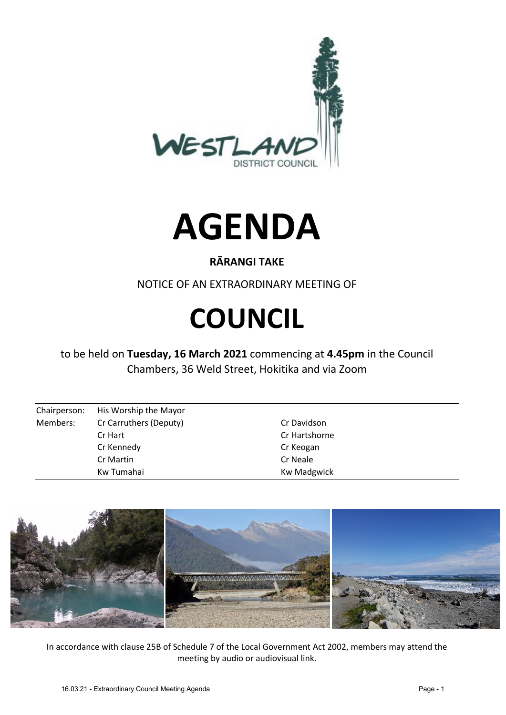



## **RĀRANGI TAKE**

NOTICE OF AN EXTRAORDINARY MEETING OF

# **COUNCIL**

to be held on **Tuesday, 16 March 2021** commencing at **4.45pm** in the Council Chambers, 36 Weld Street, Hokitika and via Zoom

| Chairperson: | His Worship the Mayor  |                    |
|--------------|------------------------|--------------------|
| Members:     | Cr Carruthers (Deputy) | Cr Davidson        |
|              | Cr Hart                | Cr Hartshorne      |
|              | Cr Kennedy             | Cr Keogan          |
|              | Cr Martin              | Cr Neale           |
|              | Kw Tumahai             | <b>Kw Madgwick</b> |



In accordance with clause 25B of Schedule 7 of the Local Government Act 2002, members may attend the meeting by audio or audiovisual link.